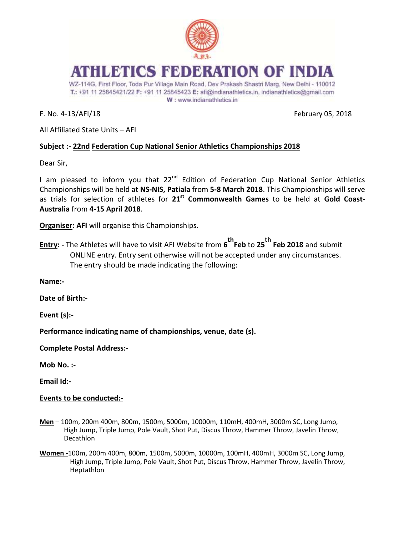

# ATHLETICS FEDERATION OF INDI

WZ-114G, First Floor, Toda Pur Village Main Road, Dev Prakash Shastri Marg, New Delhi - 110012 T.: +91 11 25845421/22 F: +91 11 25845423 E: afi@indianathletics.in, indianathletics@gmail.com W: www.indianathletics.in

F. No. 4-13/AFI/18 February 05, 2018

All Affiliated State Units – AFI

### **Subject :- 22nd Federation Cup National Senior Athletics Championships 2018**

Dear Sir,

I am pleased to inform you that 22<sup>nd</sup> Edition of Federation Cup National Senior Athletics Championships will be held at **NS-NIS, Patiala** from **5-8 March 2018**. This Championships will serve as trials for selection of athletes for **21st Commonwealth Games** to be held at **Gold Coast-Australia** from **4-15 April 2018**.

**Organiser: AFI** will organise this Championships.

**Entry: -** The Athletes will have to visit AFI Website from **6 thFeb** to **25th Feb <sup>2018</sup>** and submit ONLINE entry. Entry sent otherwise will not be accepted under any circumstances. The entry should be made indicating the following:

**Name:-**

**Date of Birth:-**

**Event (s):-**

**Performance indicating name of championships, venue, date (s).**

**Complete Postal Address:-**

**Mob No. :-**

**Email Id:-**

#### **Events to be conducted:-**

- **Men** 100m, 200m 400m, 800m, 1500m, 5000m, 10000m, 110mH, 400mH, 3000m SC, Long Jump, High Jump, Triple Jump, Pole Vault, Shot Put, Discus Throw, Hammer Throw, Javelin Throw, Decathlon
- **Women -**100m, 200m 400m, 800m, 1500m, 5000m, 10000m, 100mH, 400mH, 3000m SC, Long Jump, High Jump, Triple Jump, Pole Vault, Shot Put, Discus Throw, Hammer Throw, Javelin Throw, Heptathlon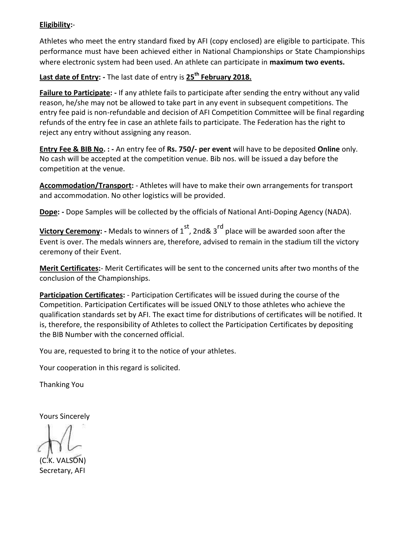### **Eligibility:**-

Athletes who meet the entry standard fixed by AFI (copy enclosed) are eligible to participate. This performance must have been achieved either in National Championships or State Championships where electronic system had been used. An athlete can participate in **maximum two events.**

**Last date of Entry: -** The last date of entry is **25th February 2018.**

**Failure to Participate: -** If any athlete fails to participate after sending the entry without any valid reason, he/she may not be allowed to take part in any event in subsequent competitions. The entry fee paid is non-refundable and decision of AFI Competition Committee will be final regarding refunds of the entry fee in case an athlete fails to participate. The Federation has the right to reject any entry without assigning any reason.

**Entry Fee & BIB No. : -** An entry fee of **Rs. 750/- per event** will have to be deposited **Online** only. No cash will be accepted at the competition venue. Bib nos. will be issued a day before the competition at the venue.

**Accommodation/Transport:** - Athletes will have to make their own arrangements for transport and accommodation. No other logistics will be provided.

**Dope: -** Dope Samples will be collected by the officials of National Anti-Doping Agency (NADA).

**Victory Ceremony:** - Medals to winners of 1<sup>st</sup>, 2nd& 3<sup>rd</sup> place will be awarded soon after the Event is over. The medals winners are, therefore, advised to remain in the stadium till the victory ceremony of their Event.

**Merit Certificates:**- Merit Certificates will be sent to the concerned units after two months of the conclusion of the Championships.

**Participation Certificates:** - Participation Certificates will be issued during the course of the Competition. Participation Certificates will be issued ONLY to those athletes who achieve the qualification standards set by AFI. The exact time for distributions of certificates will be notified. It is, therefore, the responsibility of Athletes to collect the Participation Certificates by depositing the BIB Number with the concerned official.

You are, requested to bring it to the notice of your athletes.

Your cooperation in this regard is solicited.

Thanking You

Yours Sincerely

(C.K. VALSON) Secretary, AFI